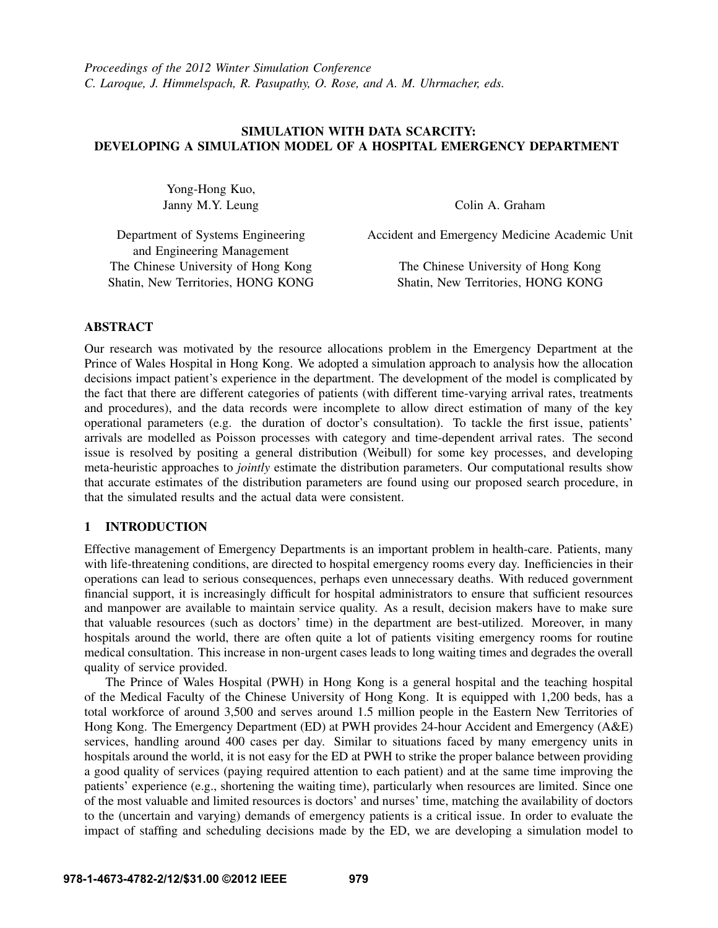*Proceedings of the 2012 Winter Simulation Conference C. Laroque, J. Himmelspach, R. Pasupathy, O. Rose, and A. M. Uhrmacher, eds.*

# SIMULATION WITH DATA SCARCITY: DEVELOPING A SIMULATION MODEL OF A HOSPITAL EMERGENCY DEPARTMENT

Yong-Hong Kuo, Janny M.Y. Leung

Colin A. Graham

Department of Systems Engineering and Engineering Management The Chinese University of Hong Kong Shatin, New Territories, HONG KONG Accident and Emergency Medicine Academic Unit

The Chinese University of Hong Kong Shatin, New Territories, HONG KONG

## ABSTRACT

Our research was motivated by the resource allocations problem in the Emergency Department at the Prince of Wales Hospital in Hong Kong. We adopted a simulation approach to analysis how the allocation decisions impact patient's experience in the department. The development of the model is complicated by the fact that there are different categories of patients (with different time-varying arrival rates, treatments and procedures), and the data records were incomplete to allow direct estimation of many of the key operational parameters (e.g. the duration of doctor's consultation). To tackle the first issue, patients' arrivals are modelled as Poisson processes with category and time-dependent arrival rates. The second issue is resolved by positing a general distribution (Weibull) for some key processes, and developing meta-heuristic approaches to *jointly* estimate the distribution parameters. Our computational results show that accurate estimates of the distribution parameters are found using our proposed search procedure, in that the simulated results and the actual data were consistent.

# 1 INTRODUCTION

Effective management of Emergency Departments is an important problem in health-care. Patients, many with life-threatening conditions, are directed to hospital emergency rooms every day. Inefficiencies in their operations can lead to serious consequences, perhaps even unnecessary deaths. With reduced government financial support, it is increasingly difficult for hospital administrators to ensure that sufficient resources and manpower are available to maintain service quality. As a result, decision makers have to make sure that valuable resources (such as doctors' time) in the department are best-utilized. Moreover, in many hospitals around the world, there are often quite a lot of patients visiting emergency rooms for routine medical consultation. This increase in non-urgent cases leads to long waiting times and degrades the overall quality of service provided.

The Prince of Wales Hospital (PWH) in Hong Kong is a general hospital and the teaching hospital of the Medical Faculty of the Chinese University of Hong Kong. It is equipped with 1,200 beds, has a total workforce of around 3,500 and serves around 1.5 million people in the Eastern New Territories of Hong Kong. The Emergency Department (ED) at PWH provides 24-hour Accident and Emergency (A&E) services, handling around 400 cases per day. Similar to situations faced by many emergency units in hospitals around the world, it is not easy for the ED at PWH to strike the proper balance between providing a good quality of services (paying required attention to each patient) and at the same time improving the patients' experience (e.g., shortening the waiting time), particularly when resources are limited. Since one of the most valuable and limited resources is doctors' and nurses' time, matching the availability of doctors to the (uncertain and varying) demands of emergency patients is a critical issue. In order to evaluate the impact of staffing and scheduling decisions made by the ED, we are developing a simulation model to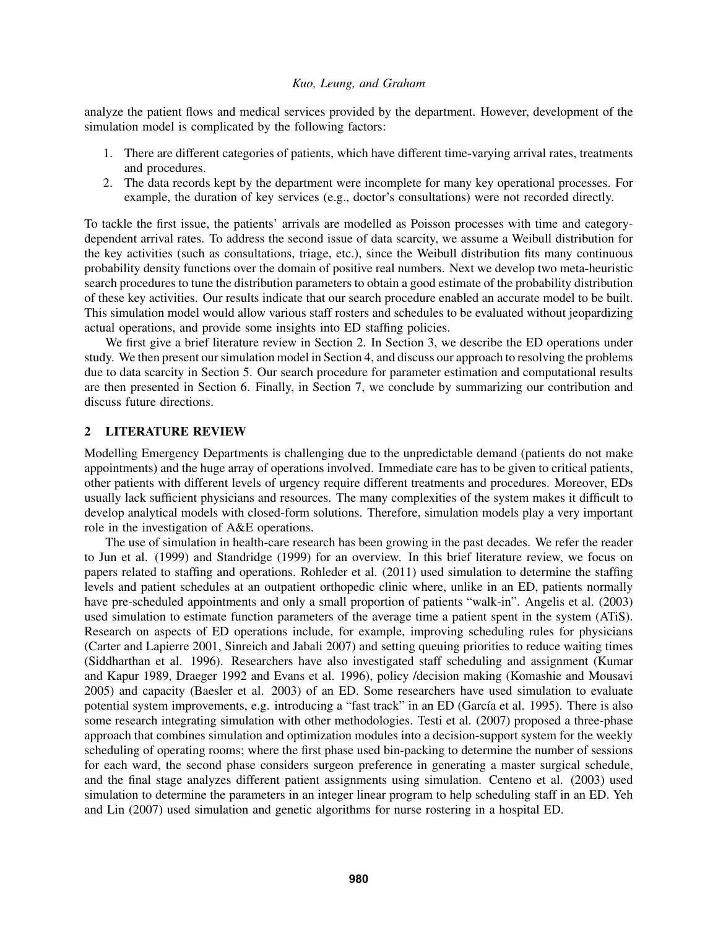analyze the patient flows and medical services provided by the department. However, development of the simulation model is complicated by the following factors:

- 1. There are different categories of patients, which have different time-varying arrival rates, treatments and procedures.
- 2. The data records kept by the department were incomplete for many key operational processes. For example, the duration of key services (e.g., doctor's consultations) were not recorded directly.

To tackle the first issue, the patients' arrivals are modelled as Poisson processes with time and categorydependent arrival rates. To address the second issue of data scarcity, we assume a Weibull distribution for the key activities (such as consultations, triage, etc.), since the Weibull distribution fits many continuous probability density functions over the domain of positive real numbers. Next we develop two meta-heuristic search procedures to tune the distribution parameters to obtain a good estimate of the probability distribution of these key activities. Our results indicate that our search procedure enabled an accurate model to be built. This simulation model would allow various staff rosters and schedules to be evaluated without jeopardizing actual operations, and provide some insights into ED staffing policies.

We first give a brief literature review in Section 2. In Section 3, we describe the ED operations under study. We then present our simulation model in Section 4, and discuss our approach to resolving the problems due to data scarcity in Section 5. Our search procedure for parameter estimation and computational results are then presented in Section 6. Finally, in Section 7, we conclude by summarizing our contribution and discuss future directions.

# 2 LITERATURE REVIEW

Modelling Emergency Departments is challenging due to the unpredictable demand (patients do not make appointments) and the huge array of operations involved. Immediate care has to be given to critical patients, other patients with different levels of urgency require different treatments and procedures. Moreover, EDs usually lack sufficient physicians and resources. The many complexities of the system makes it difficult to develop analytical models with closed-form solutions. Therefore, simulation models play a very important role in the investigation of A&E operations.

The use of simulation in health-care research has been growing in the past decades. We refer the reader to Jun et al. (1999) and Standridge (1999) for an overview. In this brief literature review, we focus on papers related to staffing and operations. Rohleder et al. (2011) used simulation to determine the staffing levels and patient schedules at an outpatient orthopedic clinic where, unlike in an ED, patients normally have pre-scheduled appointments and only a small proportion of patients "walk-in". Angelis et al. (2003) used simulation to estimate function parameters of the average time a patient spent in the system (ATiS). Research on aspects of ED operations include, for example, improving scheduling rules for physicians (Carter and Lapierre 2001, Sinreich and Jabali 2007) and setting queuing priorities to reduce waiting times (Siddharthan et al. 1996). Researchers have also investigated staff scheduling and assignment (Kumar and Kapur 1989, Draeger 1992 and Evans et al. 1996), policy /decision making (Komashie and Mousavi 2005) and capacity (Baesler et al. 2003) of an ED. Some researchers have used simulation to evaluate potential system improvements, e.g. introducing a "fast track" in an ED (García et al. 1995). There is also some research integrating simulation with other methodologies. Testi et al. (2007) proposed a three-phase approach that combines simulation and optimization modules into a decision-support system for the weekly scheduling of operating rooms; where the first phase used bin-packing to determine the number of sessions for each ward, the second phase considers surgeon preference in generating a master surgical schedule, and the final stage analyzes different patient assignments using simulation. Centeno et al. (2003) used simulation to determine the parameters in an integer linear program to help scheduling staff in an ED. Yeh and Lin (2007) used simulation and genetic algorithms for nurse rostering in a hospital ED.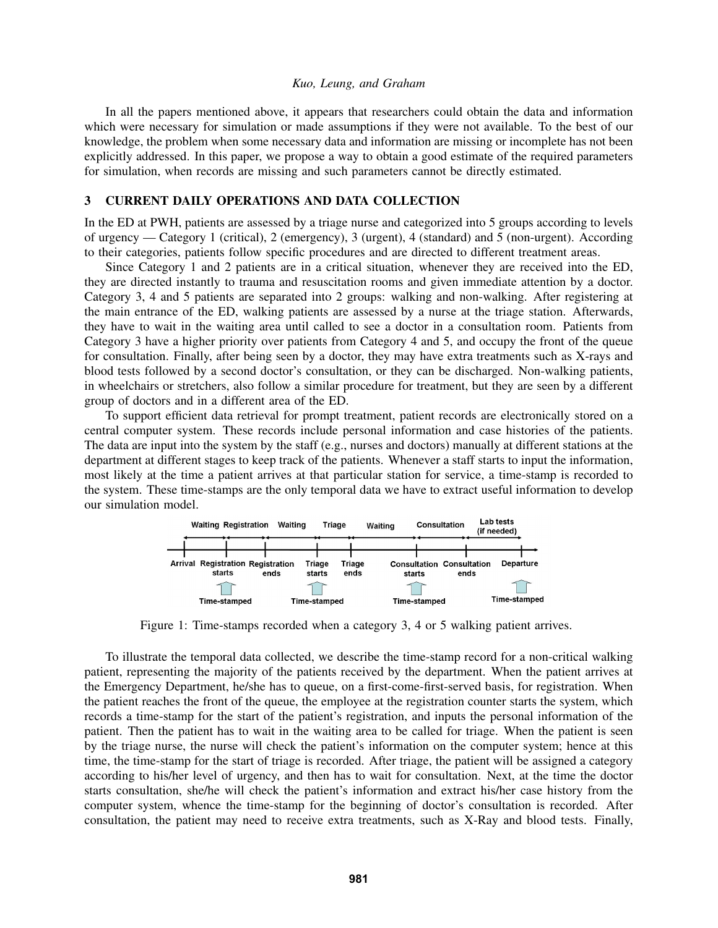In all the papers mentioned above, it appears that researchers could obtain the data and information which were necessary for simulation or made assumptions if they were not available. To the best of our knowledge, the problem when some necessary data and information are missing or incomplete has not been explicitly addressed. In this paper, we propose a way to obtain a good estimate of the required parameters for simulation, when records are missing and such parameters cannot be directly estimated.

### 3 CURRENT DAILY OPERATIONS AND DATA COLLECTION

In the ED at PWH, patients are assessed by a triage nurse and categorized into 5 groups according to levels of urgency — Category 1 (critical), 2 (emergency), 3 (urgent), 4 (standard) and 5 (non-urgent). According to their categories, patients follow specific procedures and are directed to different treatment areas.

Since Category 1 and 2 patients are in a critical situation, whenever they are received into the ED, they are directed instantly to trauma and resuscitation rooms and given immediate attention by a doctor. Category 3, 4 and 5 patients are separated into 2 groups: walking and non-walking. After registering at the main entrance of the ED, walking patients are assessed by a nurse at the triage station. Afterwards, they have to wait in the waiting area until called to see a doctor in a consultation room. Patients from Category 3 have a higher priority over patients from Category 4 and 5, and occupy the front of the queue for consultation. Finally, after being seen by a doctor, they may have extra treatments such as X-rays and blood tests followed by a second doctor's consultation, or they can be discharged. Non-walking patients, in wheelchairs or stretchers, also follow a similar procedure for treatment, but they are seen by a different group of doctors and in a different area of the ED.

To support efficient data retrieval for prompt treatment, patient records are electronically stored on a central computer system. These records include personal information and case histories of the patients. The data are input into the system by the staff (e.g., nurses and doctors) manually at different stations at the department at different stages to keep track of the patients. Whenever a staff starts to input the information, most likely at the time a patient arrives at that particular station for service, a time-stamp is recorded to the system. These time-stamps are the only temporal data we have to extract useful information to develop our simulation model.



Figure 1: Time-stamps recorded when a category 3, 4 or 5 walking patient arrives.

To illustrate the temporal data collected, we describe the time-stamp record for a non-critical walking patient, representing the majority of the patients received by the department. When the patient arrives at the Emergency Department, he/she has to queue, on a first-come-first-served basis, for registration. When the patient reaches the front of the queue, the employee at the registration counter starts the system, which records a time-stamp for the start of the patient's registration, and inputs the personal information of the patient. Then the patient has to wait in the waiting area to be called for triage. When the patient is seen by the triage nurse, the nurse will check the patient's information on the computer system; hence at this time, the time-stamp for the start of triage is recorded. After triage, the patient will be assigned a category according to his/her level of urgency, and then has to wait for consultation. Next, at the time the doctor starts consultation, she/he will check the patient's information and extract his/her case history from the computer system, whence the time-stamp for the beginning of doctor's consultation is recorded. After consultation, the patient may need to receive extra treatments, such as X-Ray and blood tests. Finally,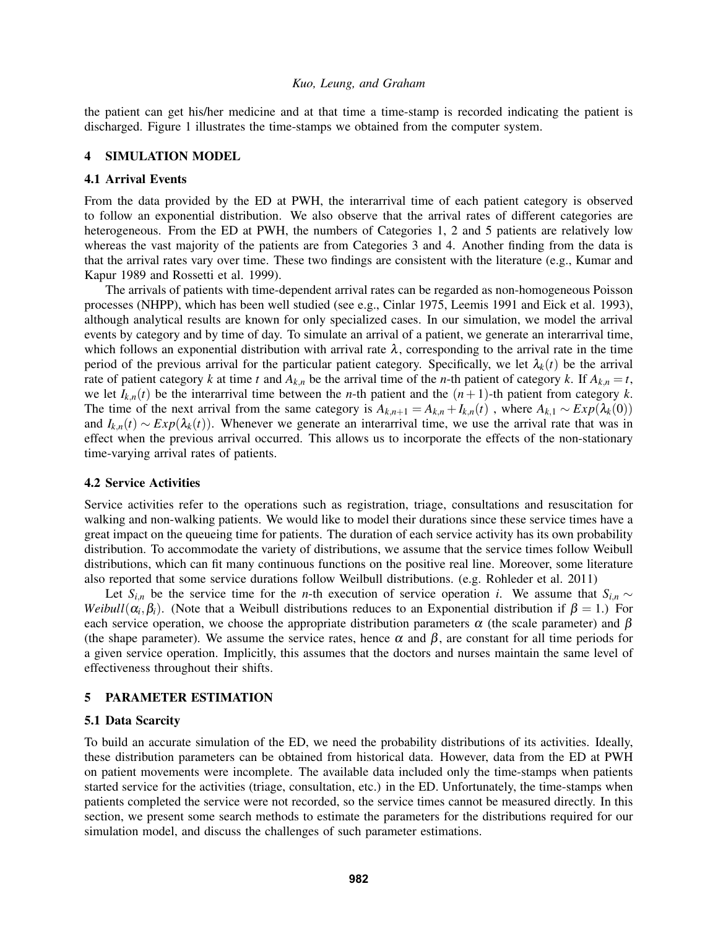the patient can get his/her medicine and at that time a time-stamp is recorded indicating the patient is discharged. Figure 1 illustrates the time-stamps we obtained from the computer system.

#### 4 SIMULATION MODEL

#### 4.1 Arrival Events

From the data provided by the ED at PWH, the interarrival time of each patient category is observed to follow an exponential distribution. We also observe that the arrival rates of different categories are heterogeneous. From the ED at PWH, the numbers of Categories 1, 2 and 5 patients are relatively low whereas the vast majority of the patients are from Categories 3 and 4. Another finding from the data is that the arrival rates vary over time. These two findings are consistent with the literature (e.g., Kumar and Kapur 1989 and Rossetti et al. 1999).

The arrivals of patients with time-dependent arrival rates can be regarded as non-homogeneous Poisson processes (NHPP), which has been well studied (see e.g., Cinlar 1975, Leemis 1991 and Eick et al. 1993), although analytical results are known for only specialized cases. In our simulation, we model the arrival events by category and by time of day. To simulate an arrival of a patient, we generate an interarrival time, which follows an exponential distribution with arrival rate  $\lambda$ , corresponding to the arrival rate in the time period of the previous arrival for the particular patient category. Specifically, we let  $\lambda_k(t)$  be the arrival rate of patient category *k* at time *t* and  $A_{k,n}$  be the arrival time of the *n*-th patient of category *k*. If  $A_{k,n} = t$ , we let  $I_{k,n}(t)$  be the interarrival time between the *n*-th patient and the  $(n+1)$ -th patient from category *k*. The time of the next arrival from the same category is  $A_{k,n+1} = A_{k,n} + I_{k,n}(t)$ , where  $A_{k,1} \sim Exp(\lambda_k(0))$ and  $I_{k,n}(t) \sim Exp(\lambda_k(t))$ . Whenever we generate an interarrival time, we use the arrival rate that was in effect when the previous arrival occurred. This allows us to incorporate the effects of the non-stationary time-varying arrival rates of patients.

#### 4.2 Service Activities

Service activities refer to the operations such as registration, triage, consultations and resuscitation for walking and non-walking patients. We would like to model their durations since these service times have a great impact on the queueing time for patients. The duration of each service activity has its own probability distribution. To accommodate the variety of distributions, we assume that the service times follow Weibull distributions, which can fit many continuous functions on the positive real line. Moreover, some literature also reported that some service durations follow Weilbull distributions. (e.g. Rohleder et al. 2011)

Let  $S_{i,n}$  be the service time for the *n*-th execution of service operation *i*. We assume that  $S_{i,n} \sim$ *Weibull*( $\alpha_i, \beta_i$ ). (Note that a Weibull distributions reduces to an Exponential distribution if  $\beta = 1$ .) For each service operation, we choose the appropriate distribution parameters  $\alpha$  (the scale parameter) and  $\beta$ (the shape parameter). We assume the service rates, hence  $\alpha$  and  $\beta$ , are constant for all time periods for a given service operation. Implicitly, this assumes that the doctors and nurses maintain the same level of effectiveness throughout their shifts.

### 5 PARAMETER ESTIMATION

#### 5.1 Data Scarcity

To build an accurate simulation of the ED, we need the probability distributions of its activities. Ideally, these distribution parameters can be obtained from historical data. However, data from the ED at PWH on patient movements were incomplete. The available data included only the time-stamps when patients started service for the activities (triage, consultation, etc.) in the ED. Unfortunately, the time-stamps when patients completed the service were not recorded, so the service times cannot be measured directly. In this section, we present some search methods to estimate the parameters for the distributions required for our simulation model, and discuss the challenges of such parameter estimations.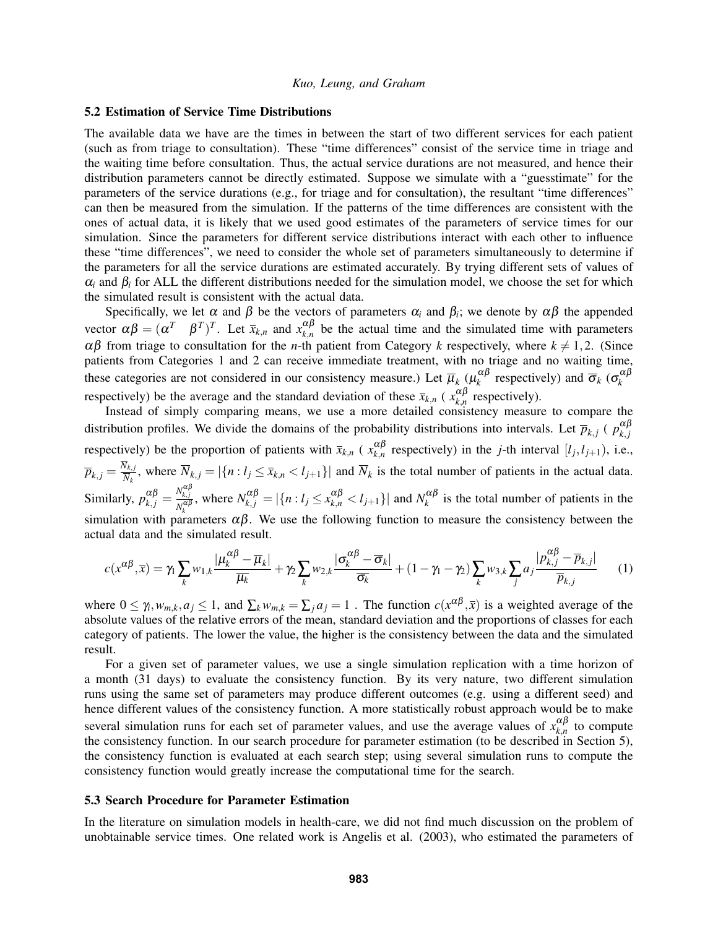#### 5.2 Estimation of Service Time Distributions

The available data we have are the times in between the start of two different services for each patient (such as from triage to consultation). These "time differences" consist of the service time in triage and the waiting time before consultation. Thus, the actual service durations are not measured, and hence their distribution parameters cannot be directly estimated. Suppose we simulate with a "guesstimate" for the parameters of the service durations (e.g., for triage and for consultation), the resultant "time differences" can then be measured from the simulation. If the patterns of the time differences are consistent with the ones of actual data, it is likely that we used good estimates of the parameters of service times for our simulation. Since the parameters for different service distributions interact with each other to influence these "time differences", we need to consider the whole set of parameters simultaneously to determine if the parameters for all the service durations are estimated accurately. By trying different sets of values of  $\alpha_i$  and  $\beta_i$  for ALL the different distributions needed for the simulation model, we choose the set for which the simulated result is consistent with the actual data.

Specifically, we let  $\alpha$  and  $\beta$  be the vectors of parameters  $\alpha_i$  and  $\beta_i$ ; we denote by  $\alpha\beta$  the appended vector  $\alpha\beta = (\alpha^T \quad \beta^T)^T$ . Let  $\bar{x}_{k,n}$  and  $x_{k,n}^{\alpha\beta}$  $\sum_{k,n}^{\mu}$  be the actual time and the simulated time with parameters  $\alpha\beta$  from triage to consultation for the *n*-th patient from Category *k* respectively, where  $k \neq 1,2$ . (Since patients from Categories 1 and 2 can receive immediate treatment, with no triage and no waiting time, these categories are not considered in our consistency measure.) Let  $\overline{\mu}_k$  ( $\mu_k^{\alpha\beta}$  $\alpha_{k}^{\alpha\beta}$  respectively) and  $\overline{\sigma}_{k}$  ( $\sigma_{k}^{\alpha\beta}$ *k* respectively) be the average and the standard deviation of these  $\bar{x}_{k,n}$  ( $x_{k,n}^{\alpha\beta}$  $_{k,n}^{\alpha p}$  respectively).

Instead of simply comparing means, we use a more detailed consistency measure to compare the distribution profiles. We divide the domains of the probability distributions into intervals. Let  $\overline{p}_{k,j}$  ( $p_{k,j}^{\alpha\beta}$ *k*, *j* respectively) be the proportion of patients with  $\bar{x}_{k,n}$  ( $x_{k,n}^{\alpha\beta}$  $\sum_{k,n}^{\alpha}$  respectively) in the *j*-th interval [ $l_j, l_{j+1}$ ), i.e.,  $\overline{p}_{k,j} = \frac{\overline{N}_{k,j}}{\overline{N}_{k,j}}$ *N*<sub>*k*</sub></sub>, where  $\overline{N}_{k,j} = |\{n : l_j \le \overline{x}_{k,n} < l_{j+1}\}|$  and  $\overline{N}_k$  is the total number of patients in the actual data. Similarly,  $p_{k,j}^{\alpha\beta} = \frac{N_{k,j}^{\alpha\beta}}{N^{\alpha\beta}}$  $N_{k,j}^{N_{k,j}}$ , where  $N_{k,j}^{\alpha\beta} = |\{n : l_j \le x_{k,n}^{\alpha\beta} < l_{j+1}\}|$  and  $N_k^{\alpha\beta}$  $\binom{n}{k}$  is the total number of patients in the simulation with parameters  $\alpha\beta$ . We use the following function to measure the consistency between the actual data and the simulated result.

$$
c(x^{\alpha\beta}, \overline{x}) = \gamma_1 \sum_{k} w_{1,k} \frac{|\mu_k^{\alpha\beta} - \overline{\mu}_k|}{\overline{\mu}_k} + \gamma_2 \sum_{k} w_{2,k} \frac{|\sigma_k^{\alpha\beta} - \overline{\sigma}_k|}{\overline{\sigma}_k} + (1 - \gamma_1 - \gamma_2) \sum_{k} w_{3,k} \sum_{j} a_j \frac{|\rho_{k,j}^{\alpha\beta} - \overline{p}_{k,j}|}{\overline{p}_{k,j}} \tag{1}
$$

where  $0 \le \gamma_i$ ,  $w_{m,k}$ ,  $a_j \le 1$ , and  $\sum_k w_{m,k} = \sum_j a_j = 1$ . The function  $c(x^{\alpha \beta}, \overline{x})$  is a weighted average of the absolute values of the relative errors of the mean, standard deviation and the proportions of classes for each category of patients. The lower the value, the higher is the consistency between the data and the simulated result.

For a given set of parameter values, we use a single simulation replication with a time horizon of a month (31 days) to evaluate the consistency function. By its very nature, two different simulation runs using the same set of parameters may produce different outcomes (e.g. using a different seed) and hence different values of the consistency function. A more statistically robust approach would be to make several simulation runs for each set of parameter values, and use the average values of  $x_k^{\alpha\beta}$  $\binom{up}{k,n}$  to compute the consistency function. In our search procedure for parameter estimation (to be described in Section 5), the consistency function is evaluated at each search step; using several simulation runs to compute the consistency function would greatly increase the computational time for the search.

### 5.3 Search Procedure for Parameter Estimation

In the literature on simulation models in health-care, we did not find much discussion on the problem of unobtainable service times. One related work is Angelis et al. (2003), who estimated the parameters of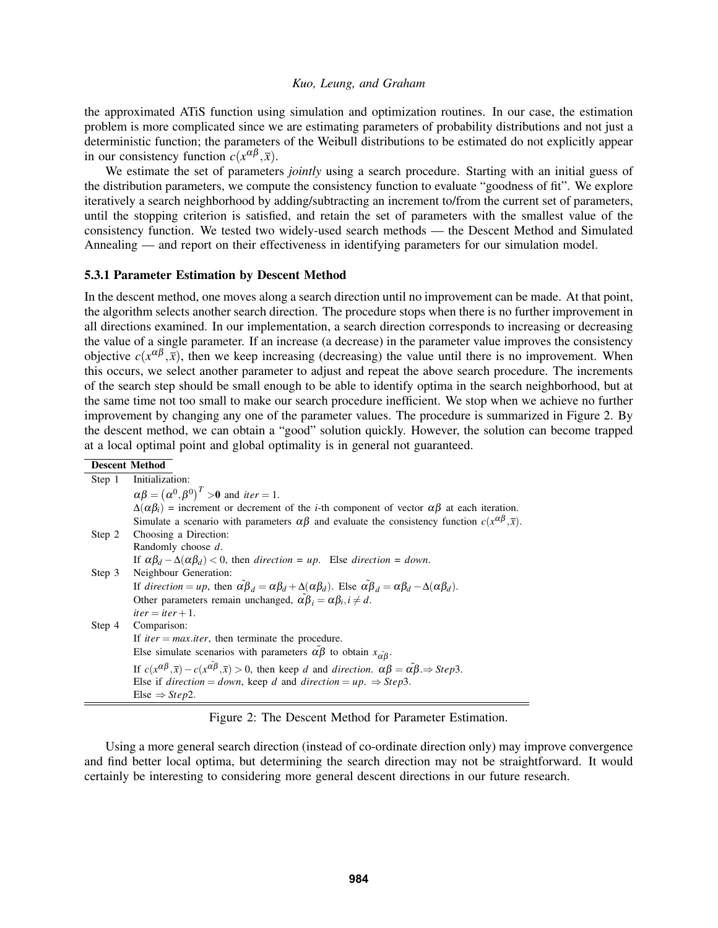the approximated ATiS function using simulation and optimization routines. In our case, the estimation problem is more complicated since we are estimating parameters of probability distributions and not just a deterministic function; the parameters of the Weibull distributions to be estimated do not explicitly appear in our consistency function  $c(x^{\alpha\beta}, \overline{x})$ .

We estimate the set of parameters *jointly* using a search procedure. Starting with an initial guess of the distribution parameters, we compute the consistency function to evaluate "goodness of fit". We explore iteratively a search neighborhood by adding/subtracting an increment to/from the current set of parameters, until the stopping criterion is satisfied, and retain the set of parameters with the smallest value of the consistency function. We tested two widely-used search methods — the Descent Method and Simulated Annealing — and report on their effectiveness in identifying parameters for our simulation model.

### 5.3.1 Parameter Estimation by Descent Method

In the descent method, one moves along a search direction until no improvement can be made. At that point, the algorithm selects another search direction. The procedure stops when there is no further improvement in all directions examined. In our implementation, a search direction corresponds to increasing or decreasing the value of a single parameter. If an increase (a decrease) in the parameter value improves the consistency objective  $c(x^{\alpha\beta}, \bar{x})$ , then we keep increasing (decreasing) the value until there is no improvement. When this occurs, we select another parameter to adjust and repeat the above search procedure. The increments of the search step should be small enough to be able to identify optima in the search neighborhood, but at the same time not too small to make our search procedure inefficient. We stop when we achieve no further improvement by changing any one of the parameter values. The procedure is summarized in Figure 2. By the descent method, we can obtain a "good" solution quickly. However, the solution can become trapped at a local optimal point and global optimality is in general not guaranteed.

## Descent Method

| Step 1   | Initialization:                                                                                                                                        |
|----------|--------------------------------------------------------------------------------------------------------------------------------------------------------|
|          | $\alpha\beta = (\alpha^0, \beta^0)^T > 0$ and <i>iter</i> = 1.                                                                                         |
|          | $\Delta(\alpha \beta_i)$ = increment or decrement of the <i>i</i> -th component of vector $\alpha \beta$ at each iteration.                            |
|          | Simulate a scenario with parameters $\alpha\beta$ and evaluate the consistency function $c(x^{\alpha\beta}, \bar{x})$ .                                |
| Step $2$ | Choosing a Direction:                                                                                                                                  |
|          | Randomly choose d.                                                                                                                                     |
|          | If $\alpha \beta_d - \Delta(\alpha \beta_d) < 0$ , then <i>direction</i> = up. Else <i>direction</i> = <i>down</i> .                                   |
| Step $3$ | Neighbour Generation:                                                                                                                                  |
|          | If direction = up, then $\alpha \beta_d = \alpha \beta_d + \Delta(\alpha \beta_d)$ . Else $\alpha \beta_d = \alpha \beta_d - \Delta(\alpha \beta_d)$ . |
|          | Other parameters remain unchanged, $\alpha \beta_i = \alpha \beta_i$ , $i \neq d$ .                                                                    |
|          | $iter = iter + 1.$                                                                                                                                     |
| Step 4   | Comparison:                                                                                                                                            |
|          | If <i>iter</i> = $max.iter$ , then terminate the procedure.                                                                                            |
|          | Else simulate scenarios with parameters $\alpha \beta$ to obtain $x_{\alpha \beta}$ .                                                                  |
|          | If $c(x^{\alpha\beta}, \bar{x}) - c(x^{\alpha\beta}, \bar{x}) > 0$ , then keep d and direction. $\alpha\beta = \alpha\beta \Rightarrow$ Step3.         |
|          | Else if <i>direction</i> = <i>down</i> , keep <i>d</i> and <i>direction</i> = $up. \Rightarrow$ <i>Step3</i> .                                         |
|          | Else $\Rightarrow$ Step2.                                                                                                                              |

#### Figure 2: The Descent Method for Parameter Estimation.

Using a more general search direction (instead of co-ordinate direction only) may improve convergence and find better local optima, but determining the search direction may not be straightforward. It would certainly be interesting to considering more general descent directions in our future research.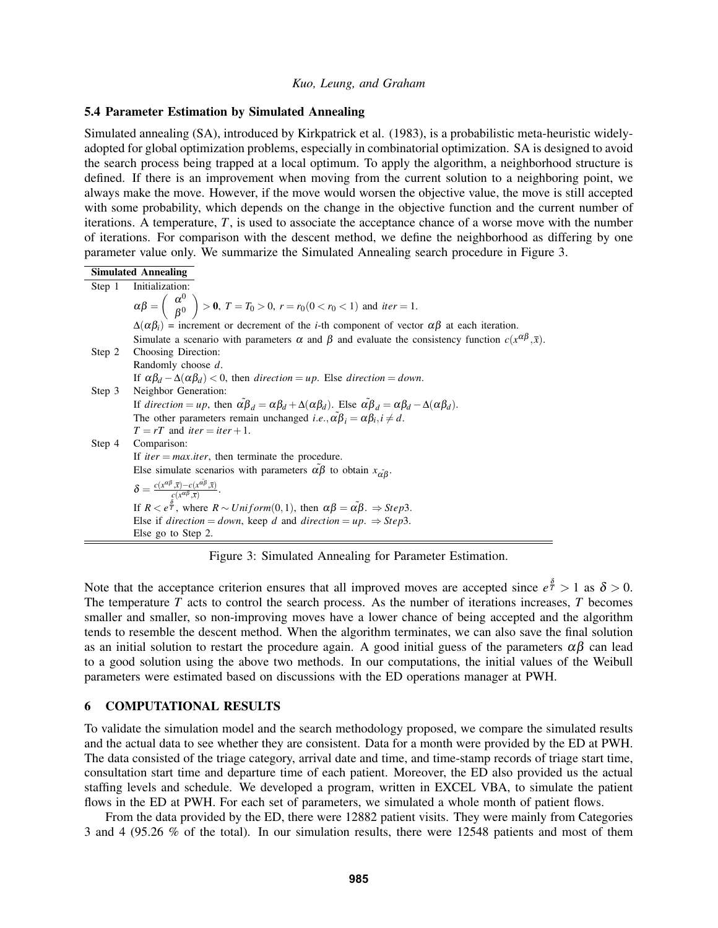### 5.4 Parameter Estimation by Simulated Annealing

Simulated annealing (SA), introduced by Kirkpatrick et al. (1983), is a probabilistic meta-heuristic widelyadopted for global optimization problems, especially in combinatorial optimization. SA is designed to avoid the search process being trapped at a local optimum. To apply the algorithm, a neighborhood structure is defined. If there is an improvement when moving from the current solution to a neighboring point, we always make the move. However, if the move would worsen the objective value, the move is still accepted with some probability, which depends on the change in the objective function and the current number of iterations. A temperature, *T*, is used to associate the acceptance chance of a worse move with the number of iterations. For comparison with the descent method, we define the neighborhood as differing by one parameter value only. We summarize the Simulated Annealing search procedure in Figure 3.

### Simulated Annealing

| Step 1   | Initialization:                                                                                                                                                                                                                                                                        |
|----------|----------------------------------------------------------------------------------------------------------------------------------------------------------------------------------------------------------------------------------------------------------------------------------------|
|          | $\alpha\beta = \begin{pmatrix} \alpha^0 \\ \beta^0 \end{pmatrix} > 0$ , $T = T_0 > 0$ , $r = r_0(0 < r_0 < 1)$ and $iter = 1$ .                                                                                                                                                        |
|          | $\Delta(\alpha\beta_i)$ = increment or decrement of the <i>i</i> -th component of vector $\alpha\beta$ at each iteration.                                                                                                                                                              |
|          | Simulate a scenario with parameters $\alpha$ and $\beta$ and evaluate the consistency function $c(x^{\alpha\beta}, \overline{x})$ .                                                                                                                                                    |
| Step $2$ | Choosing Direction:                                                                                                                                                                                                                                                                    |
|          | Randomly choose d.                                                                                                                                                                                                                                                                     |
|          | If $\alpha \beta_d - \Delta(\alpha \beta_d) < 0$ , then direction = up. Else direction = down.                                                                                                                                                                                         |
| Step $3$ | Neighbor Generation:                                                                                                                                                                                                                                                                   |
|          |                                                                                                                                                                                                                                                                                        |
|          | If direction = up, then $\alpha \tilde{\beta}_d = \alpha \beta_d + \Delta(\alpha \beta_d)$ . Else $\alpha \tilde{\beta}_d = \alpha \beta_d - \Delta(\alpha \beta_d)$ .<br>The other parameters remain unchanged <i>i.e.</i> , $\alpha \tilde{\beta}_i = \alpha \beta_i$ , $i \neq d$ . |
|          | $T = rT$ and <i>iter</i> = <i>iter</i> + 1.                                                                                                                                                                                                                                            |
| Step 4   | Comparison:                                                                                                                                                                                                                                                                            |
|          | If <i>iter</i> = $max.iter$ , then terminate the procedure.                                                                                                                                                                                                                            |
|          | Else simulate scenarios with parameters $\alpha \beta$ to obtain $x_{\alpha \beta}$ .                                                                                                                                                                                                  |
|          | $\delta = \frac{c(x^{\alpha\beta}, \overline{x}) - c(x^{\alpha\beta}, \overline{x})}{c(x^{\alpha\beta}, \overline{x})}.$                                                                                                                                                               |
|          | If $R < e^{\frac{\delta}{T}}$ , where $R \sim Uniform(0, 1)$ , then $\alpha\beta = \alpha\beta \Rightarrow Step 3$ .                                                                                                                                                                   |
|          | Else if <i>direction</i> = <i>down</i> , keep <i>d</i> and <i>direction</i> = $up. \Rightarrow$ <i>Step3</i> .                                                                                                                                                                         |
|          | Else go to Step 2.                                                                                                                                                                                                                                                                     |

Figure 3: Simulated Annealing for Parameter Estimation.

Note that the acceptance criterion ensures that all improved moves are accepted since  $e^{\frac{\delta}{T}} > 1$  as  $\delta > 0$ . The temperature *T* acts to control the search process. As the number of iterations increases, *T* becomes smaller and smaller, so non-improving moves have a lower chance of being accepted and the algorithm tends to resemble the descent method. When the algorithm terminates, we can also save the final solution as an initial solution to restart the procedure again. A good initial guess of the parameters  $\alpha\beta$  can lead to a good solution using the above two methods. In our computations, the initial values of the Weibull parameters were estimated based on discussions with the ED operations manager at PWH.

# 6 COMPUTATIONAL RESULTS

To validate the simulation model and the search methodology proposed, we compare the simulated results and the actual data to see whether they are consistent. Data for a month were provided by the ED at PWH. The data consisted of the triage category, arrival date and time, and time-stamp records of triage start time, consultation start time and departure time of each patient. Moreover, the ED also provided us the actual staffing levels and schedule. We developed a program, written in EXCEL VBA, to simulate the patient flows in the ED at PWH. For each set of parameters, we simulated a whole month of patient flows.

From the data provided by the ED, there were 12882 patient visits. They were mainly from Categories 3 and 4 (95.26 % of the total). In our simulation results, there were 12548 patients and most of them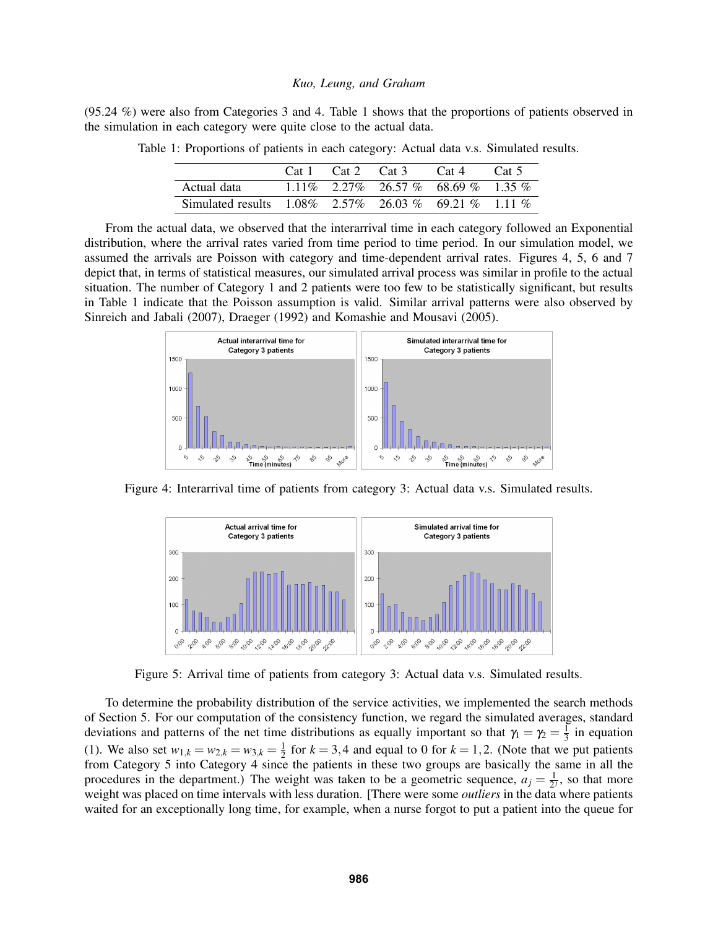(95.24 %) were also from Categories 3 and 4. Table 1 shows that the proportions of patients observed in the simulation in each category were quite close to the actual data.

Table 1: Proportions of patients in each category: Actual data v.s. Simulated results.

|                   | Cat 1 | Cat 2 | Cat 3 | Cat 4                                     | Cat 5    |
|-------------------|-------|-------|-------|-------------------------------------------|----------|
| Actual data       |       |       |       | $1.11\%$ 2.27\% 26.57\% 68.69\%           | $1.35\%$ |
| Simulated results |       |       |       | $1.08\%$ 2.57\% 26.03 \% 69.21 \% 1.11 \% |          |

From the actual data, we observed that the interarrival time in each category followed an Exponential distribution, where the arrival rates varied from time period to time period. In our simulation model, we assumed the arrivals are Poisson with category and time-dependent arrival rates. Figures 4, 5, 6 and 7 depict that, in terms of statistical measures, our simulated arrival process was similar in profile to the actual situation. The number of Category 1 and 2 patients were too few to be statistically significant, but results in Table 1 indicate that the Poisson assumption is valid. Similar arrival patterns were also observed by Sinreich and Jabali (2007), Draeger (1992) and Komashie and Mousavi (2005).



Figure 4: Interarrival time of patients from category 3: Actual data v.s. Simulated results.



Figure 5: Arrival time of patients from category 3: Actual data v.s. Simulated results.

To determine the probability distribution of the service activities, we implemented the search methods of Section 5. For our computation of the consistency function, we regard the simulated averages, standard deviations and patterns of the net time distributions as equally important so that  $\gamma_1 = \gamma_2 = \frac{1}{3}$  $\frac{1}{3}$  in equation (1). We also set  $w_{1,k} = w_{2,k} = w_{3,k} = \frac{1}{2}$  $\frac{1}{2}$  for  $k = 3, 4$  and equal to 0 for  $k = 1, 2$ . (Note that we put patients from Category 5 into Category 4 since the patients in these two groups are basically the same in all the procedures in the department.) The weight was taken to be a geometric sequence,  $a_j = \frac{1}{2}$  $\frac{1}{2^j}$ , so that more weight was placed on time intervals with less duration. [There were some *outliers* in the data where patients waited for an exceptionally long time, for example, when a nurse forgot to put a patient into the queue for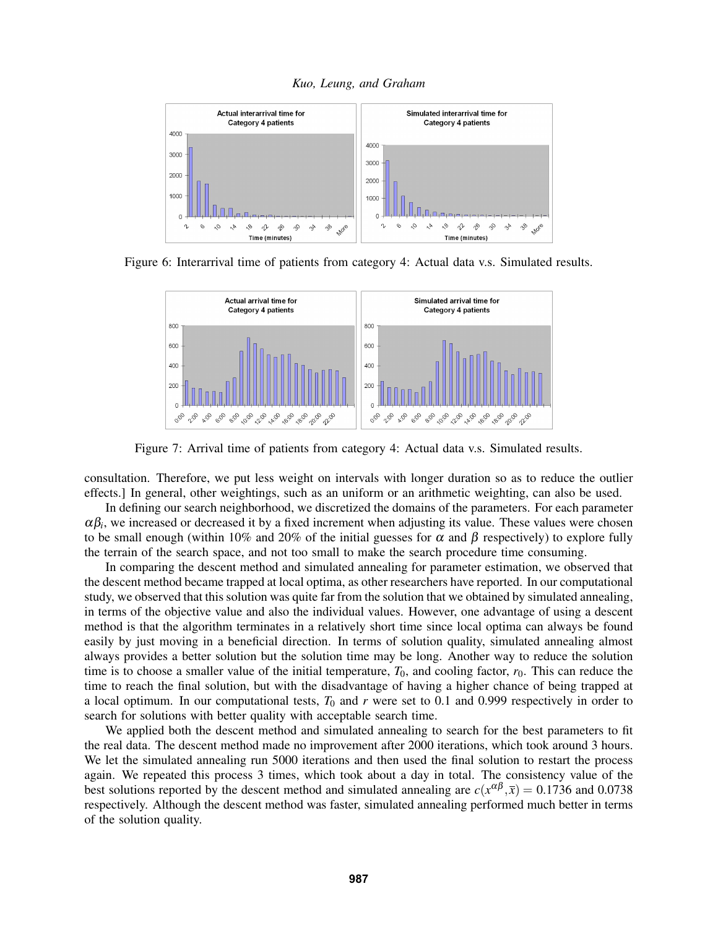



Figure 6: Interarrival time of patients from category 4: Actual data v.s. Simulated results.



Figure 7: Arrival time of patients from category 4: Actual data v.s. Simulated results.

consultation. Therefore, we put less weight on intervals with longer duration so as to reduce the outlier effects.] In general, other weightings, such as an uniform or an arithmetic weighting, can also be used.

In defining our search neighborhood, we discretized the domains of the parameters. For each parameter  $\alpha\beta_i$ , we increased or decreased it by a fixed increment when adjusting its value. These values were chosen to be small enough (within 10% and 20% of the initial guesses for  $\alpha$  and  $\beta$  respectively) to explore fully the terrain of the search space, and not too small to make the search procedure time consuming.

In comparing the descent method and simulated annealing for parameter estimation, we observed that the descent method became trapped at local optima, as other researchers have reported. In our computational study, we observed that this solution was quite far from the solution that we obtained by simulated annealing, in terms of the objective value and also the individual values. However, one advantage of using a descent method is that the algorithm terminates in a relatively short time since local optima can always be found easily by just moving in a beneficial direction. In terms of solution quality, simulated annealing almost always provides a better solution but the solution time may be long. Another way to reduce the solution time is to choose a smaller value of the initial temperature,  $T_0$ , and cooling factor,  $r_0$ . This can reduce the time to reach the final solution, but with the disadvantage of having a higher chance of being trapped at a local optimum. In our computational tests, *T*<sup>0</sup> and *r* were set to 0.1 and 0.999 respectively in order to search for solutions with better quality with acceptable search time.

We applied both the descent method and simulated annealing to search for the best parameters to fit the real data. The descent method made no improvement after 2000 iterations, which took around 3 hours. We let the simulated annealing run 5000 iterations and then used the final solution to restart the process again. We repeated this process 3 times, which took about a day in total. The consistency value of the best solutions reported by the descent method and simulated annealing are  $c(x^{\alpha\beta}, \bar{x}) = 0.1736$  and 0.0738 respectively. Although the descent method was faster, simulated annealing performed much better in terms of the solution quality.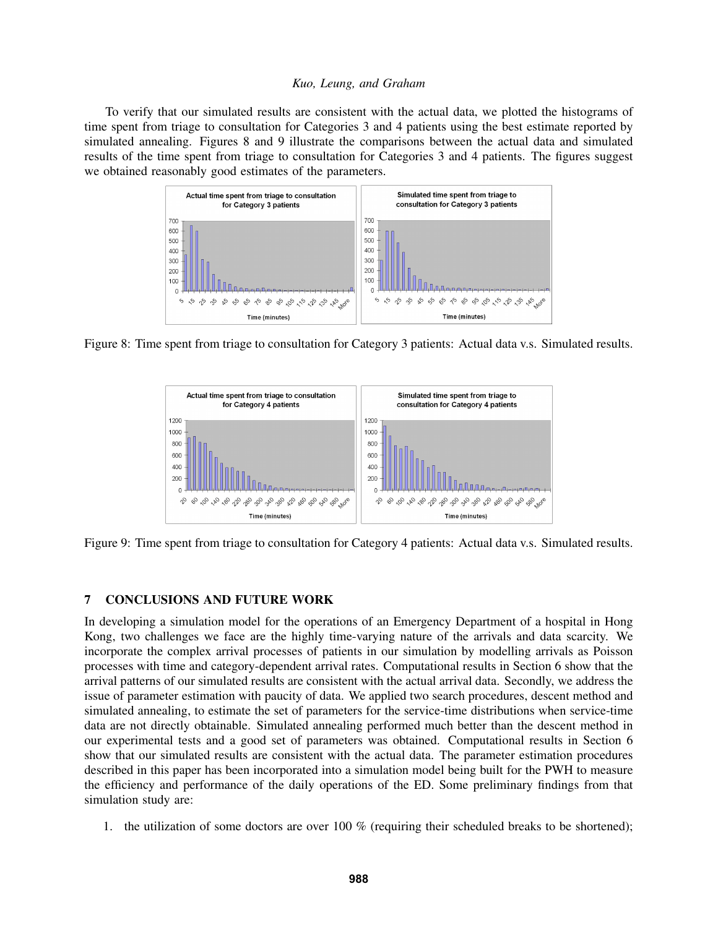To verify that our simulated results are consistent with the actual data, we plotted the histograms of time spent from triage to consultation for Categories 3 and 4 patients using the best estimate reported by simulated annealing. Figures 8 and 9 illustrate the comparisons between the actual data and simulated results of the time spent from triage to consultation for Categories 3 and 4 patients. The figures suggest we obtained reasonably good estimates of the parameters.



Figure 8: Time spent from triage to consultation for Category 3 patients: Actual data v.s. Simulated results.



Figure 9: Time spent from triage to consultation for Category 4 patients: Actual data v.s. Simulated results.

# 7 CONCLUSIONS AND FUTURE WORK

In developing a simulation model for the operations of an Emergency Department of a hospital in Hong Kong, two challenges we face are the highly time-varying nature of the arrivals and data scarcity. We incorporate the complex arrival processes of patients in our simulation by modelling arrivals as Poisson processes with time and category-dependent arrival rates. Computational results in Section 6 show that the arrival patterns of our simulated results are consistent with the actual arrival data. Secondly, we address the issue of parameter estimation with paucity of data. We applied two search procedures, descent method and simulated annealing, to estimate the set of parameters for the service-time distributions when service-time data are not directly obtainable. Simulated annealing performed much better than the descent method in our experimental tests and a good set of parameters was obtained. Computational results in Section 6 show that our simulated results are consistent with the actual data. The parameter estimation procedures described in this paper has been incorporated into a simulation model being built for the PWH to measure the efficiency and performance of the daily operations of the ED. Some preliminary findings from that simulation study are:

1. the utilization of some doctors are over 100 % (requiring their scheduled breaks to be shortened);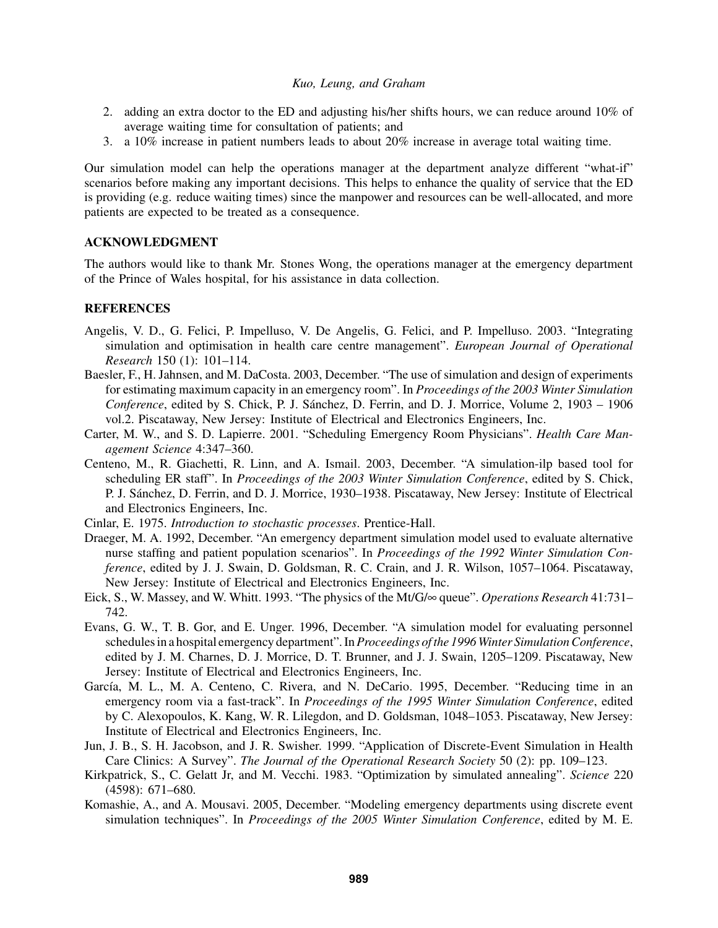- 2. adding an extra doctor to the ED and adjusting his/her shifts hours, we can reduce around 10% of average waiting time for consultation of patients; and
- 3. a 10% increase in patient numbers leads to about 20% increase in average total waiting time.

Our simulation model can help the operations manager at the department analyze different "what-if" scenarios before making any important decisions. This helps to enhance the quality of service that the ED is providing (e.g. reduce waiting times) since the manpower and resources can be well-allocated, and more patients are expected to be treated as a consequence.

# ACKNOWLEDGMENT

The authors would like to thank Mr. Stones Wong, the operations manager at the emergency department of the Prince of Wales hospital, for his assistance in data collection.

# **REFERENCES**

- Angelis, V. D., G. Felici, P. Impelluso, V. De Angelis, G. Felici, and P. Impelluso. 2003. "Integrating simulation and optimisation in health care centre management". *European Journal of Operational Research* 150 (1): 101–114.
- Baesler, F., H. Jahnsen, and M. DaCosta. 2003, December. "The use of simulation and design of experiments for estimating maximum capacity in an emergency room". In *Proceedings of the 2003 Winter Simulation Conference*, edited by S. Chick, P. J. Sánchez, D. Ferrin, and D. J. Morrice, Volume 2, 1903 – 1906 vol.2. Piscataway, New Jersey: Institute of Electrical and Electronics Engineers, Inc.
- Carter, M. W., and S. D. Lapierre. 2001. "Scheduling Emergency Room Physicians". *Health Care Management Science* 4:347–360.
- Centeno, M., R. Giachetti, R. Linn, and A. Ismail. 2003, December. "A simulation-ilp based tool for scheduling ER staff". In *Proceedings of the 2003 Winter Simulation Conference*, edited by S. Chick, P. J. Sanchez, D. Ferrin, and D. J. Morrice, 1930–1938. Piscataway, New Jersey: Institute of Electrical ´ and Electronics Engineers, Inc.
- Cinlar, E. 1975. *Introduction to stochastic processes*. Prentice-Hall.
- Draeger, M. A. 1992, December. "An emergency department simulation model used to evaluate alternative nurse staffing and patient population scenarios". In *Proceedings of the 1992 Winter Simulation Conference*, edited by J. J. Swain, D. Goldsman, R. C. Crain, and J. R. Wilson, 1057–1064. Piscataway, New Jersey: Institute of Electrical and Electronics Engineers, Inc.
- Eick, S., W. Massey, and W. Whitt. 1993. "The physics of the Mt/G/∞ queue". *Operations Research* 41:731– 742.
- Evans, G. W., T. B. Gor, and E. Unger. 1996, December. "A simulation model for evaluating personnel schedules in a hospital emergency department". In*Proceedings of the 1996 Winter Simulation Conference*, edited by J. M. Charnes, D. J. Morrice, D. T. Brunner, and J. J. Swain, 1205–1209. Piscataway, New Jersey: Institute of Electrical and Electronics Engineers, Inc.
- García, M. L., M. A. Centeno, C. Rivera, and N. DeCario. 1995, December. "Reducing time in an emergency room via a fast-track". In *Proceedings of the 1995 Winter Simulation Conference*, edited by C. Alexopoulos, K. Kang, W. R. Lilegdon, and D. Goldsman, 1048–1053. Piscataway, New Jersey: Institute of Electrical and Electronics Engineers, Inc.
- Jun, J. B., S. H. Jacobson, and J. R. Swisher. 1999. "Application of Discrete-Event Simulation in Health Care Clinics: A Survey". *The Journal of the Operational Research Society* 50 (2): pp. 109–123.
- Kirkpatrick, S., C. Gelatt Jr, and M. Vecchi. 1983. "Optimization by simulated annealing". *Science* 220 (4598): 671–680.
- Komashie, A., and A. Mousavi. 2005, December. "Modeling emergency departments using discrete event simulation techniques". In *Proceedings of the 2005 Winter Simulation Conference*, edited by M. E.